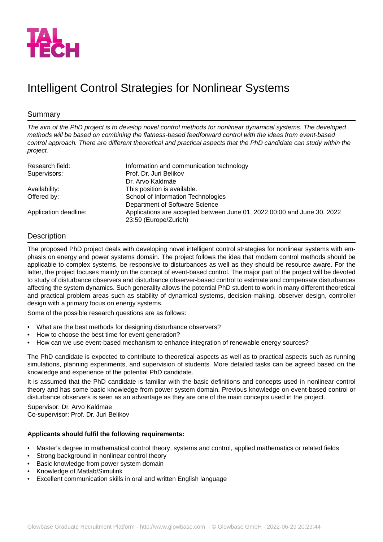

# Intelligent Control Strategies for Nonlinear Systems

## Summary

*The aim of the PhD project is to develop novel control methods for nonlinear dynamical systems. The developed methods will be based on combining the flatness-based feedforward control with the ideas from event-based control approach. There are different theoretical and practical aspects that the PhD candidate can study within the project.*

| Research field:       | Information and communication technology                                |
|-----------------------|-------------------------------------------------------------------------|
| Supervisors:          | Prof. Dr. Juri Belikov                                                  |
|                       | Dr. Arvo Kaldmäe                                                        |
| Availability:         | This position is available.                                             |
| Offered by:           | School of Information Technologies                                      |
|                       | Department of Software Science                                          |
| Application deadline: | Applications are accepted between June 01, 2022 00:00 and June 30, 2022 |
|                       | 23:59 (Europe/Zurich)                                                   |

## **Description**

The proposed PhD project deals with developing novel intelligent control strategies for nonlinear systems with emphasis on energy and power systems domain. The project follows the idea that modern control methods should be applicable to complex systems, be responsive to disturbances as well as they should be resource aware. For the latter, the project focuses mainly on the concept of event-based control. The major part of the project will be devoted to study of disturbance observers and disturbance observer-based control to estimate and compensate disturbances affecting the system dynamics. Such generality allows the potential PhD student to work in many different theoretical and practical problem areas such as stability of dynamical systems, decision-making, observer design, controller design with a primary focus on energy systems.

Some of the possible research questions are as follows:

- What are the best methods for designing disturbance observers?
- How to choose the best time for event generation?
- How can we use event-based mechanism to enhance integration of renewable energy sources?

The PhD candidate is expected to contribute to theoretical aspects as well as to practical aspects such as running simulations, planning experiments, and supervision of students. More detailed tasks can be agreed based on the knowledge and experience of the potential PhD candidate.

It is assumed that the PhD candidate is familiar with the basic definitions and concepts used in nonlinear control theory and has some basic knowledge from power system domain. Previous knowledge on event-based control or disturbance observers is seen as an advantage as they are one of the main concepts used in the project.

Supervisor: Dr. Arvo Kaldmäe Co-supervisor: Prof. Dr. Juri Belikov

#### **Applicants should fulfil the following requirements:**

- Master's degree in mathematical control theory, systems and control, applied mathematics or related fields
- Strong background in nonlinear control theory
- Basic knowledge from power system domain
- Knowledge of Matlab/Simulink
- Excellent communication skills in oral and written English language